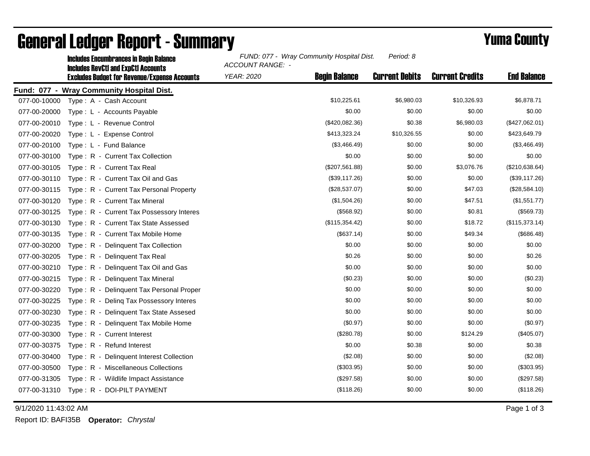|              | <b>Includes RevCtI and ExpCtI Accounts</b>          | ACCOUNT RANGE: - |                      |                       |                        |                    |
|--------------|-----------------------------------------------------|------------------|----------------------|-----------------------|------------------------|--------------------|
|              | <b>Excludes Budget for Revenue/Expense Accounts</b> | YEAR: 2020       | <b>Begin Balance</b> | <b>Current Debits</b> | <b>Current Credits</b> | <b>End Balance</b> |
|              | Fund: 077 - Wray Community Hospital Dist.           |                  |                      |                       |                        |                    |
| 077-00-10000 | Type: A - Cash Account                              |                  | \$10,225.61          | \$6,980.03            | \$10,326.93            | \$6,878.71         |
| 077-00-20000 | Type: L - Accounts Payable                          |                  | \$0.00               | \$0.00                | \$0.00                 | \$0.00             |
| 077-00-20010 | Type: L - Revenue Control                           |                  | (\$420,082.36)       | \$0.38                | \$6,980.03             | (\$427,062.01)     |
| 077-00-20020 | Type: L - Expense Control                           |                  | \$413,323.24         | \$10,326.55           | \$0.00                 | \$423,649.79       |
| 077-00-20100 | Type: L - Fund Balance                              |                  | (\$3,466.49)         | \$0.00                | \$0.00                 | (\$3,466.49)       |
| 077-00-30100 | Type: R - Current Tax Collection                    |                  | \$0.00               | \$0.00                | \$0.00                 | \$0.00             |
| 077-00-30105 | Type: R - Current Tax Real                          |                  | (\$207,561.88)       | \$0.00                | \$3,076.76             | (\$210,638.64)     |
| 077-00-30110 | Type: R - Current Tax Oil and Gas                   |                  | (\$39,117.26)        | \$0.00                | \$0.00                 | (\$39,117.26)      |
| 077-00-30115 | Type: R - Current Tax Personal Property             |                  | (\$28,537.07)        | \$0.00                | \$47.03                | (\$28,584.10)      |
| 077-00-30120 | Type: R - Current Tax Mineral                       |                  | (\$1,504.26)         | \$0.00                | \$47.51                | (\$1,551.77)       |
| 077-00-30125 | Type: R - Current Tax Possessory Interes            |                  | (\$568.92)           | \$0.00                | \$0.81                 | (\$569.73)         |
| 077-00-30130 | Type: R - Current Tax State Assessed                |                  | (\$115,354.42)       | \$0.00                | \$18.72                | (\$115,373.14)     |
| 077-00-30135 | Type: R - Current Tax Mobile Home                   |                  | (\$637.14)           | \$0.00                | \$49.34                | (\$686.48)         |
| 077-00-30200 | Type: R - Delinquent Tax Collection                 |                  | \$0.00               | \$0.00                | \$0.00                 | \$0.00             |
| 077-00-30205 | Type: R - Delinquent Tax Real                       |                  | \$0.26               | \$0.00                | \$0.00                 | \$0.26             |
| 077-00-30210 | Type: R - Delinquent Tax Oil and Gas                |                  | \$0.00               | \$0.00                | \$0.00                 | \$0.00             |
| 077-00-30215 | Type: R - Delinquent Tax Mineral                    |                  | (\$0.23)             | \$0.00                | \$0.00                 | (\$0.23)           |
| 077-00-30220 | Type: R - Delinquent Tax Personal Proper            |                  | \$0.00               | \$0.00                | \$0.00                 | \$0.00             |
| 077-00-30225 | Type: R - Deling Tax Possessory Interes             |                  | \$0.00               | \$0.00                | \$0.00                 | \$0.00             |
| 077-00-30230 | Type: R - Delinquent Tax State Assesed              |                  | \$0.00               | \$0.00                | \$0.00                 | \$0.00             |
| 077-00-30235 | Type: R - Delinquent Tax Mobile Home                |                  | (\$0.97)             | \$0.00                | \$0.00                 | (\$0.97)           |
| 077-00-30300 | Type: R - Current Interest                          |                  | (\$280.78)           | \$0.00                | \$124.29               | $(\$405.07)$       |
| 077-00-30375 | Type: R - Refund Interest                           |                  | \$0.00               | \$0.38                | \$0.00                 | \$0.38             |
| 077-00-30400 | Type: R - Delinquent Interest Collection            |                  | (\$2.08)             | \$0.00                | \$0.00                 | (\$2.08)           |
| 077-00-30500 | Type: R - Miscellaneous Collections                 |                  | (\$303.95)           | \$0.00                | \$0.00                 | (\$303.95)         |
| 077-00-31305 | Type: R - Wildlife Impact Assistance                |                  | (\$297.58)           | \$0.00                | \$0.00                 | (\$297.58)         |
| 077-00-31310 | Type: R - DOI-PILT PAYMENT                          |                  | (\$118.26)           | \$0.00                | \$0.00                 | (\$118.26)         |
|              |                                                     |                  |                      |                       |                        |                    |

## **General Ledger Report - Summary**<br> **General Ledger Report - Summary**

**Includes Fncumbrances in Begin Balance** 

9/1/2020 11:43:02 AM Page 1 of 3

Report ID: BAFI35B **Operator:** *Chrystal*

*Period: 8*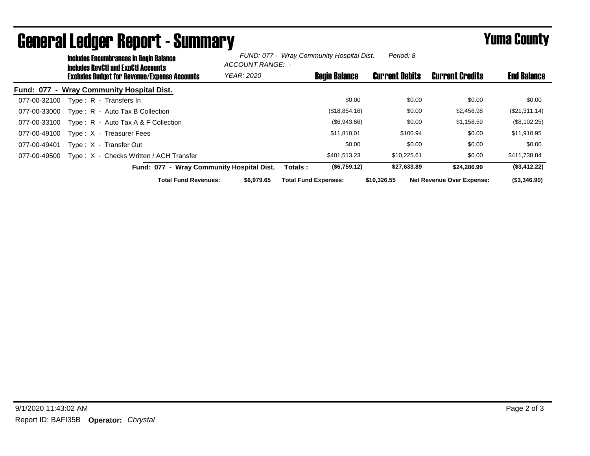| <b>Includes Encumbrances in Begin Balance</b><br><b>Includes RevCtI and ExpCtI Accounts</b> |                   | Period: 8<br>FUND: 077 - Wray Community Hospital Dist.<br>ACCOUNT RANGE: - |                       |                                  |                    |  |  |
|---------------------------------------------------------------------------------------------|-------------------|----------------------------------------------------------------------------|-----------------------|----------------------------------|--------------------|--|--|
| <b>Excludes Budget for Revenue/Expense Accounts</b>                                         | <b>YEAR: 2020</b> | <b>Begin Balance</b>                                                       | <b>Current Debits</b> | <b>Current Credits</b>           | <b>End Balance</b> |  |  |
| Fund: 077 - Wray Community Hospital Dist.                                                   |                   |                                                                            |                       |                                  |                    |  |  |
| 077-00-32100<br>Type: R - Transfers In                                                      |                   | \$0.00                                                                     | \$0.00                | \$0.00                           | \$0.00             |  |  |
| Type: R - Auto Tax B Collection<br>077-00-33000                                             |                   | (\$18,854.16)                                                              | \$0.00                | \$2,456.98                       | (\$21,311.14)      |  |  |
| Type: $R -$ Auto Tax A & F Collection<br>077-00-33100                                       |                   | $(\$6,943.66)$                                                             | \$0.00                | \$1,158.59                       | (\$8,102.25)       |  |  |
| Type: X - Treasurer Fees<br>077-00-49100                                                    |                   | \$11,810.01                                                                | \$100.94              | \$0.00                           | \$11,910.95        |  |  |
| Type: X - Transfer Out<br>077-00-49401                                                      |                   | \$0.00                                                                     | \$0.00                | \$0.00                           | \$0.00             |  |  |
| Type: X - Checks Written / ACH Transfer<br>077-00-49500                                     |                   | \$401.513.23                                                               | \$10.225.61           | \$0.00                           | \$411,738.84       |  |  |
| Fund: 077 - Wray Community Hospital Dist.                                                   |                   | (\$6,759.12)<br>Totals:                                                    | \$27,633.89           | \$24,286.99                      | (\$3,412.22)       |  |  |
| <b>Total Fund Revenues:</b>                                                                 | \$6,979.65        | <b>Total Fund Expenses:</b>                                                | \$10.326.55           | <b>Net Revenue Over Expense:</b> | (\$3,346.90)       |  |  |

## General Ledger Report - Summary **Example 2018** Yuma County